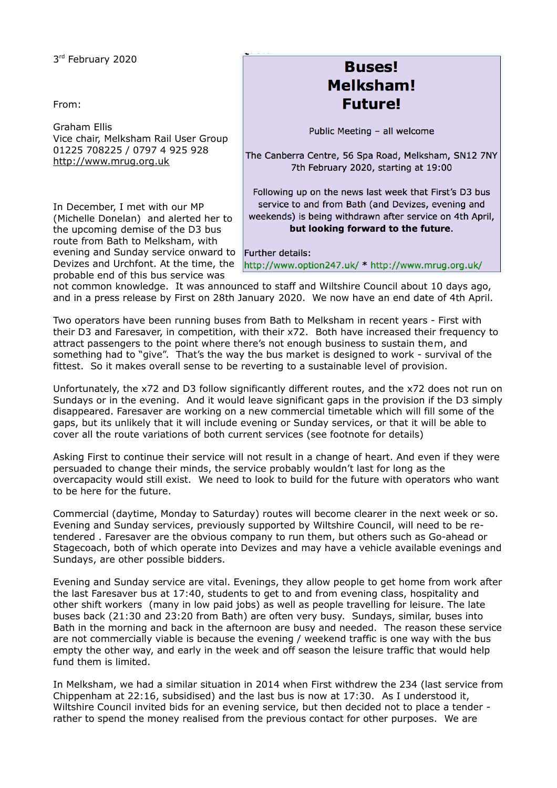3rd February 2020

From:

Graham Ellis Vice chair, Melksham Rail User Group 01225 708225 / 0797 4 925 928 [http://www.mrug.org.uk](http://www.mrug.org.uk/)

In December, I met with our MP (Michelle Donelan) and alerted her to the upcoming demise of the D3 bus route from Bath to Melksham, with evening and Sunday service onward to Further details: Devizes and Urchfont. At the time, the probable end of this bus service was

## **Buses! Melksham! Future!**

Public Meeting - all welcome

The Canberra Centre, 56 Spa Road, Melksham, SN12 7NY 7th February 2020, starting at 19:00

Following up on the news last week that First's D3 bus service to and from Bath (and Devizes, evening and weekends) is being withdrawn after service on 4th April, but looking forward to the future.

http://www.option247.uk/ \* http://www.mrug.org.uk/

not common knowledge. It was announced to staff and Wiltshire Council about 10 days ago, and in a press release by First on 28th January 2020. We now have an end date of 4th April.

Two operators have been running buses from Bath to Melksham in recent years - First with their D3 and Faresaver, in competition, with their x72. Both have increased their frequency to attract passengers to the point where there's not enough business to sustain them, and something had to "give". That's the way the bus market is designed to work - survival of the fittest. So it makes overall sense to be reverting to a sustainable level of provision.

Unfortunately, the x72 and D3 follow significantly different routes, and the x72 does not run on Sundays or in the evening. And it would leave significant gaps in the provision if the D3 simply disappeared. Faresaver are working on a new commercial timetable which will fill some of the gaps, but its unlikely that it will include evening or Sunday services, or that it will be able to cover all the route variations of both current services (see footnote for details)

Asking First to continue their service will not result in a change of heart. And even if they were persuaded to change their minds, the service probably wouldn't last for long as the overcapacity would still exist. We need to look to build for the future with operators who want to be here for the future.

Commercial (daytime, Monday to Saturday) routes will become clearer in the next week or so. Evening and Sunday services, previously supported by Wiltshire Council, will need to be retendered . Faresaver are the obvious company to run them, but others such as Go-ahead or Stagecoach, both of which operate into Devizes and may have a vehicle available evenings and Sundays, are other possible bidders.

Evening and Sunday service are vital. Evenings, they allow people to get home from work after the last Faresaver bus at 17:40, students to get to and from evening class, hospitality and other shift workers (many in low paid jobs) as well as people travelling for leisure. The late buses back (21:30 and 23:20 from Bath) are often very busy. Sundays, similar, buses into Bath in the morning and back in the afternoon are busy and needed. The reason these service are not commercially viable is because the evening / weekend traffic is one way with the bus empty the other way, and early in the week and off season the leisure traffic that would help fund them is limited.

In Melksham, we had a similar situation in 2014 when First withdrew the 234 (last service from Chippenham at 22:16, subsidised) and the last bus is now at 17:30. As I understood it, Wiltshire Council invited bids for an evening service, but then decided not to place a tender rather to spend the money realised from the previous contact for other purposes. We are